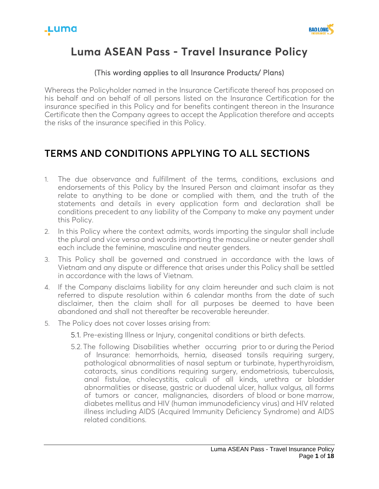

# **Luma ASEAN Pass - Travel Insurance Policy**

### (This wording applies to all Insurance Products/ Plans)

Whereas the Policyholder named in the Insurance Certificate thereof has proposed on his behalf and on behalf of all persons listed on the Insurance Certification for the insurance specified in this Policy and for benefits contingent thereon in the Insurance Certificate then the Company agrees to accept the Application therefore and accepts the risks of the insurance specified in this Policy.

# **TERMS AND CONDITIONS APPLYING TO ALL SECTIONS**

- 1. The due observance and fulfillment of the terms, conditions, exclusions and endorsements of this Policy by the Insured Person and claimant insofar as they relate to anything to be done or complied with them, and the truth of the statements and details in every application form and declaration shall be conditions precedent to any liability of the Company to make any payment under this Policy.
- 2. In this Policy where the context admits, words importing the singular shall include the plural and vice versa and words importing the masculine or neuter gender shall each include the feminine, masculine and neuter genders.
- 3. This Policy shall be governed and construed in accordance with the laws of Vietnam and any dispute or difference that arises under this Policy shall be settled in accordance with the laws of Vietnam.
- 4. If the Company disclaims liability for any claim hereunder and such claim is not referred to dispute resolution within 6 calendar months from the date of such disclaimer, then the claim shall for all purposes be deemed to have been abandoned and shall not thereafter be recoverable hereunder.
- 5. The Policy does not cover losses arising from:
	- 5.1. Pre-existing Illness or Injury, congenital conditions or birth defects.
	- 5.2. The following Disabilities whether occurring prior to or during the Period of Insurance: hemorrhoids, hernia, diseased tonsils requiring surgery, pathological abnormalities of nasal septum or turbinate, hyperthyroidism, cataracts, sinus conditions requiring surgery, endometriosis, tuberculosis, anal fistulae, cholecystitis, calculi of all kinds, urethra or bladder abnormalities or disease, gastric or duodenal ulcer, hallux valgus, all forms of tumors or cancer, malignancies, disorders of blood or bone marrow, diabetes mellitus and HIV (human immunodeficiency virus) and HIV related illness including AIDS (Acquired Immunity Deficiency Syndrome) and AIDS related conditions.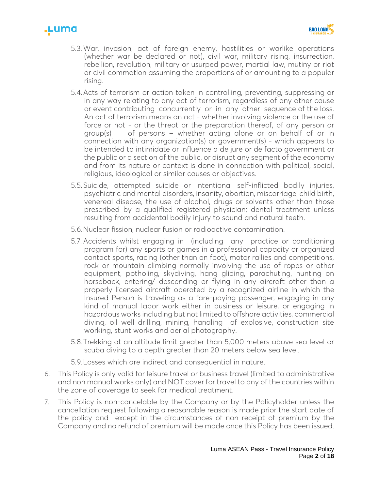



- 5.3.War, invasion, act of foreign enemy, hostilities or warlike operations (whether war be declared or not), civil war, military rising, insurrection, rebellion, revolution, military or usurped power, martial law, mutiny or riot or civil commotion assuming the proportions of or amounting to a popular rising.
- 5.4.Acts of terrorism or action taken in controlling, preventing, suppressing or in any way relating to any act of terrorism, regardless of any other cause or event contributing concurrently or in any other sequence of the loss. An act of terrorism means an act - whether involving violence or the use of force or not - or the threat or the preparation thereof, of any person or group(s) of persons – whether acting alone or on behalf of or in connection with any organization(s) or government(s) - which appears to be intended to intimidate or influence a de jure or de facto government or the public or a section of the public, or disrupt any segment of the economy and from its nature or context is done in connection with political, social, religious, ideological or similar causes or objectives.
- 5.5.Suicide, attempted suicide or intentional self-inflicted bodily injuries, psychiatric and mental disorders, insanity, abortion, miscarriage, child birth, venereal disease, the use of alcohol, drugs or solvents other than those prescribed by a qualified registered physician; dental treatment unless resulting from accidental bodily injury to sound and natural teeth.
- 5.6.Nuclear fission, nuclear fusion or radioactive contamination.
- 5.7.Accidents whilst engaging in (including any practice or conditioning program for) any sports or games in a professional capacity or organized contact sports, racing (other than on foot), motor rallies and competitions, rock or mountain climbing normally involving the use of ropes or other equipment, potholing, skydiving, hang gliding, parachuting, hunting on horseback, entering/ descending or flying in any aircraft other than a properly licensed aircraft operated by a recognized airline in which the Insured Person is traveling as a fare-paying passenger, engaging in any kind of manual labor work either in business or leisure, or engaging in hazardous works including but not limited to offshore activities, commercial diving, oil well drilling, mining, handling of explosive, construction site working, stunt works and aerial photography.
- 5.8.Trekking at an altitude limit greater than 5,000 meters above sea level or scuba diving to a depth greater than 20 meters below sea level.
- 5.9.Losses which are indirect and consequential in nature.
- 6. This Policy is only valid for leisure travel or business travel (limited to administrative and non manual works only) and NOT cover for travel to any of the countries within the zone of coverage to seek for medical treatment.
- 7. This Policy is non-cancelable by the Company or by the Policyholder unless the cancellation request following a reasonable reason is made prior the start date of the policy and except in the circumstances of non receipt of premium by the Company and no refund of premium will be made once this Policy has been issued.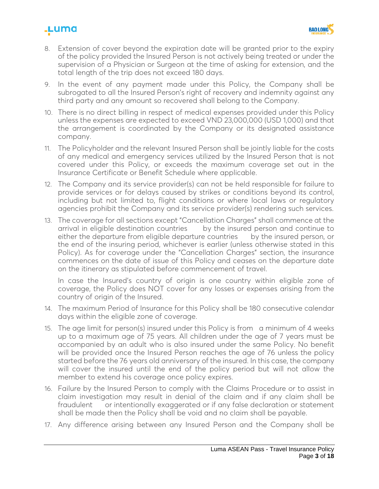# <u>.Luma</u>



- 8. Extension of cover beyond the expiration date will be granted prior to the expiry of the policy provided the Insured Person is not actively being treated or under the supervision of a Physician or Surgeon at the time of asking for extension, and the total length of the trip does not exceed 180 days.
- 9. In the event of any payment made under this Policy, the Company shall be subrogated to all the Insured Person's right of recovery and indemnity against any third party and any amount so recovered shall belong to the Company.
- 10. There is no direct billing in respect of medical expenses provided under this Policy unless the expenses are expected to exceed VND 23,000,000 (USD 1,000) and that the arrangement is coordinated by the Company or its designated assistance company.
- 11. The Policyholder and the relevant Insured Person shall be jointly liable for the costs of any medical and emergency services utilized by the Insured Person that is not covered under this Policy, or exceeds the maximum coverage set out in the Insurance Certificate or Benefit Schedule where applicable.
- 12. The Company and its service provider(s) can not be held responsible for failure to provide services or for delays caused by strikes or conditions beyond its control, including but not limited to, flight conditions or where local laws or regulatory agencies prohibit the Company and its service provider(s) rendering such services.
- 13. The coverage for all sections except "Cancellation Charges" shall commence at the arrival in eligible destination countries by the insured person and continue to either the departure from eligible departure countries by the insured person, or the end of the insuring period, whichever is earlier (unless otherwise stated in this Policy). As for coverage under the "Cancellation Charges" section, the insurance commences on the date of issue of this Policy and ceases on the departure date on the itinerary as stipulated before commencement of travel.

In case the Insured's country of origin is one country within eligible zone of coverage, the Policy does NOT cover for any losses or expenses arising from the country of origin of the Insured.

- 14. The maximum Period of Insurance for this Policy shall be 180 consecutive calendar days within the eligible zone of coverage.
- 15. The age limit for person(s) insured under this Policy is from a minimum of 4 weeks up to a maximum age of 75 years. All children under the age of 7 years must be accompanied by an adult who is also insured under the same Policy. No benefit will be provided once the Insured Person reaches the age of 76 unless the policy started before the 76 years old anniversary of the insured. In this case, the company will cover the insured until the end of the policy period but will not allow the member to extend his coverage once policy expires.
- 16. Failure by the Insured Person to comply with the Claims Procedure or to assist in claim investigation may result in denial of the claim and if any claim shall be fraudulent or intentionally exaggerated or if any false declaration or statement shall be made then the Policy shall be void and no claim shall be payable.
- 17. Any difference arising between any Insured Person and the Company shall be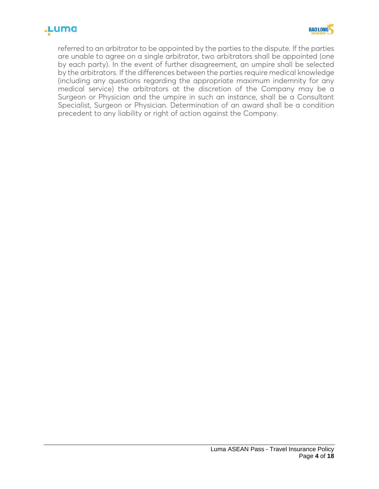# .µuma



referred to an arbitrator to be appointed by the parties to the dispute. If the parties are unable to agree on a single arbitrator, two arbitrators shall be appointed (one by each party). In the event of further disagreement, an umpire shall be selected by the arbitrators. If the differences between the parties require medical knowledge (including any questions regarding the appropriate maximum indemnity for any medical service) the arbitrators at the discretion of the Company may be a Surgeon or Physician and the umpire in such an instance, shall be a Consultant Specialist, Surgeon or Physician. Determination of an award shall be a condition precedent to any liability or right of action against the Company.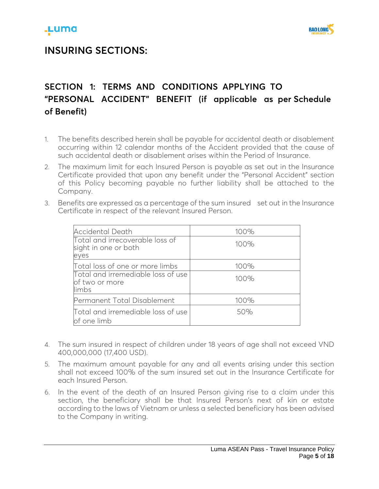## **INSURING SECTIONS:**

# **SECTION 1: TERMS AND CONDITIONS APPLYING TO "PERSONAL ACCIDENT" BENEFIT (if applicable as per Schedule of Benefit)**

- 1. The benefits described herein shall be payable for accidental death or disablement occurring within 12 calendar months of the Accident provided that the cause of such accidental death or disablement arises within the Period of Insurance.
- 2. The maximum limit for each Insured Person is payable as set out in the Insurance Certificate provided that upon any benefit under the "Personal Accident" section of this Policy becoming payable no further liability shall be attached to the Company.
- 3. Benefits are expressed as a percentage of the sum insured set out in the Insurance Certificate in respect of the relevant Insured Person.

| Accidental Death                                                | 100% |
|-----------------------------------------------------------------|------|
| Total and irrecoverable loss of<br>sight in one or both<br>eyes | 100% |
| Total loss of one or more limbs                                 | 100% |
| Total and irremediable loss of use<br>of two or more<br>limbs   | 100% |
| Permanent Total Disablement                                     | 100% |
| Total and irremediable loss of use<br>of one limb               | 50%  |

- 4. The sum insured in respect of children under 18 years of age shall not exceed VND 400,000,000 (17,400 USD).
- 5. The maximum amount payable for any and all events arising under this section shall not exceed 100% of the sum insured set out in the Insurance Certificate for each Insured Person.
- 6. In the event of the death of an Insured Person giving rise to a claim under this section, the beneficiary shall be that Insured Person's next of kin or estate according to the laws of Vietnam or unless a selected beneficiary has been advised to the Company in writing.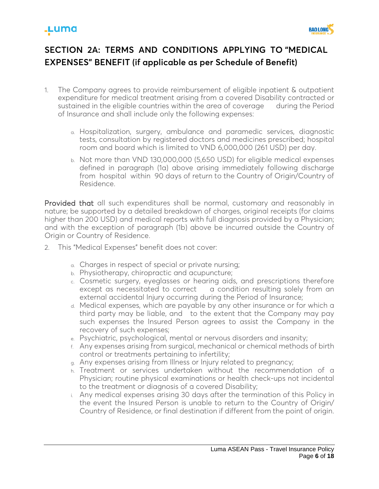



# **SECTION 2A: TERMS AND CONDITIONS APPLYING TO "MEDICAL EXPENSES" BENEFIT (if applicable as per Schedule of Benefit)**

- 1. The Company agrees to provide reimbursement of eligible inpatient & outpatient expenditure for medical treatment arising from a covered Disability contracted or sustained in the eligible countries within the area of coverage during the Period of Insurance and shall include only the following expenses:
	- a. Hospitalization, surgery, ambulance and paramedic services, diagnostic tests, consultation by registered doctors and medicines prescribed; hospital room and board which is limited to VND 6,000,000 (261 USD) per day.
	- b. Not more than VND 130,000,000 (5,650 USD) for eligible medical expenses defined in paragraph (1a) above arising immediately following discharge from hospital within 90 days of return to the Country of Origin/Country of Residence.

Provided that all such expenditures shall be normal, customary and reasonably in nature; be supported by a detailed breakdown of charges, original receipts (for claims higher than 200 USD) and medical reports with full diagnosis provided by a Physician; and with the exception of paragraph (1b) above be incurred outside the Country of Origin or Country of Residence.

- 2. This "Medical Expenses" benefit does not cover:
	- a. Charges in respect of special or private nursing;
	- b. Physiotherapy, chiropractic and acupuncture;
	- c. Cosmetic surgery, eyeglasses or hearing aids, and prescriptions therefore except as necessitated to correct a condition resulting solely from an external accidental Injury occurring during the Period of Insurance;
	- d. Medical expenses, which are payable by any other insurance or for which a third party may be liable, and to the extent that the Company may pay such expenses the Insured Person agrees to assist the Company in the recovery of such expenses;
	- e. Psychiatric, psychological, mental or nervous disorders and insanity;
	- f. Any expenses arising from surgical, mechanical or chemical methods of birth control or treatments pertaining to infertility;
	- g. Any expenses arising from Illness or Injury related to pregnancy;
	- h. Treatment or services undertaken without the recommendation of a Physician; routine physical examinations or health check-ups not incidental to the treatment or diagnosis of a covered Disability;
	- i. Any medical expenses arising 30 days after the termination of this Policy in the event the Insured Person is unable to return to the Country of Origin/ Country of Residence, or final destination if different from the point of origin.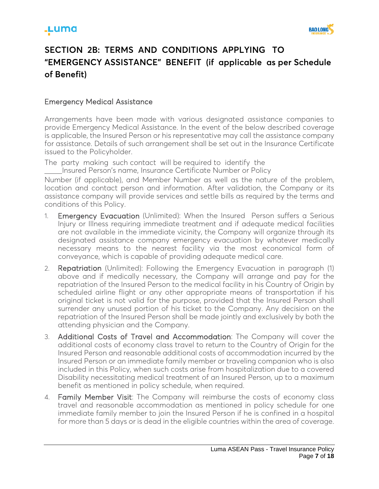

# **SECTION 2B: TERMS AND CONDITIONS APPLYING TO "EMERGENCY ASSISTANCE" BENEFIT (if applicable as per Schedule of Benefit)**

### Emergency Medical Assistance

Arrangements have been made with various designated assistance companies to provide Emergency Medical Assistance. In the event of the below described coverage is applicable, the Insured Person or his representative may call the assistance company for assistance. Details of such arrangement shall be set out in the Insurance Certificate issued to the Policyholder.

The party making such contact will be required to identify the Insured Person's name, Insurance Certificate Number or Policy

Number (if applicable), and Member Number as well as the nature of the problem, location and contact person and information. After validation, the Company or its assistance company will provide services and settle bills as required by the terms and conditions of this Policy.

- 1. Emergency Evacuation (Unlimited): When the Insured Person suffers a Serious Injury or Illness requiring immediate treatment and if adequate medical facilities are not available in the immediate vicinity, the Company will organize through its designated assistance company emergency evacuation by whatever medically necessary means to the nearest facility via the most economical form of conveyance, which is capable of providing adequate medical care.
- 2. Repatriation (Unlimited): Following the Emergency Evacuation in paragraph (1) above and if medically necessary, the Company will arrange and pay for the repatriation of the Insured Person to the medical facility in his Country of Origin by scheduled airline flight or any other appropriate means of transportation if his original ticket is not valid for the purpose, provided that the Insured Person shall surrender any unused portion of his ticket to the Company. Any decision on the repatriation of the Insured Person shall be made jointly and exclusively by both the attending physician and the Company.
- 3. Additional Costs of Travel and Accommodation: The Company will cover the additional costs of economy class travel to return to the Country of Origin for the Insured Person and reasonable additional costs of accommodation incurred by the Insured Person or an immediate family member or traveling companion who is also included in this Policy, when such costs arise from hospitalization due to a covered Disability necessitating medical treatment of an Insured Person, up to a maximum benefit as mentioned in policy schedule, when required.
- 4. Family Member Visit: The Company will reimburse the costs of economy class travel and reasonable accommodation as mentioned in policy schedule for one immediate family member to join the Insured Person if he is confined in a hospital for more than 5 days or is dead in the eligible countries within the area of coverage.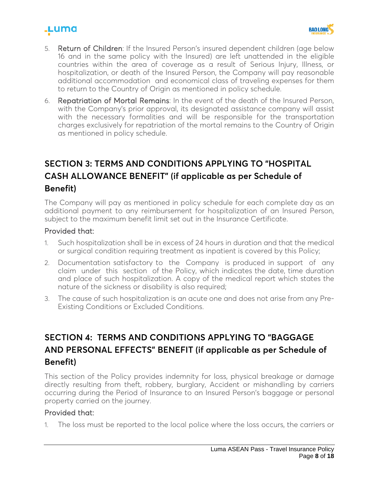



- 5. Return of Children: If the Insured Person's insured dependent children (age below 16 and in the same policy with the Insured) are left unattended in the eligible countries within the area of coverage as a result of Serious Injury, Illness, or hospitalization, or death of the Insured Person, the Company will pay reasonable additional accommodation and economical class of traveling expenses for them to return to the Country of Origin as mentioned in policy schedule.
- 6. Repatriation of Mortal Remains: In the event of the death of the Insured Person, with the Company's prior approval, its designated assistance company will assist with the necessary formalities and will be responsible for the transportation charges exclusively for repatriation of the mortal remains to the Country of Origin as mentioned in policy schedule.

# **SECTION 3: TERMS AND CONDITIONS APPLYING TO "HOSPITAL CASH ALLOWANCE BENEFIT" (if applicable as per Schedule of Benefit)**

The Company will pay as mentioned in policy schedule for each complete day as an additional payment to any reimbursement for hospitalization of an Insured Person, subject to the maximum benefit limit set out in the Insurance Certificate.

#### Provided that:

- 1. Such hospitalization shall be in excess of 24 hours in duration and that the medical or surgical condition requiring treatment as inpatient is covered by this Policy;
- 2. Documentation satisfactory to the Company is produced in support of any claim under this section of the Policy, which indicates the date, time duration and place of such hospitalization. A copy of the medical report which states the nature of the sickness or disability is also required;
- 3. The cause of such hospitalization is an acute one and does not arise from any Pre-Existing Conditions or Excluded Conditions.

## **SECTION 4: TERMS AND CONDITIONS APPLYING TO "BAGGAGE AND PERSONAL EFFECTS" BENEFIT (if applicable as per Schedule of Benefit)**

This section of the Policy provides indemnity for loss, physical breakage or damage directly resulting from theft, robbery, burglary, Accident or mishandling by carriers occurring during the Period of Insurance to an Insured Person's baggage or personal property carried on the journey.

### Provided that:

1. The loss must be reported to the local police where the loss occurs, the carriers or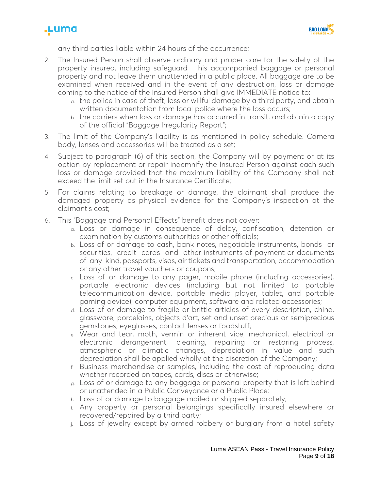



any third parties liable within 24 hours of the occurrence;

- 2. The Insured Person shall observe ordinary and proper care for the safety of the property insured, including safeguard his accompanied baggage or personal property and not leave them unattended in a public place. All baggage are to be examined when received and in the event of any destruction, loss or damage coming to the notice of the Insured Person shall give IMMEDIATE notice to:
	- a. the police in case of theft, loss or willful damage by a third party, and obtain written documentation from local police where the loss occurs;
	- b. the carriers when loss or damage has occurred in transit, and obtain a copy of the official "Baggage Irregularity Report";
- 3. The limit of the Company's liability is as mentioned in policy schedule. Camera body, lenses and accessories will be treated as a set;
- 4. Subject to paragraph (6) of this section, the Company will by payment or at its option by replacement or repair indemnify the Insured Person against each such loss or damage provided that the maximum liability of the Company shall not exceed the limit set out in the Insurance Certificate;
- 5. For claims relating to breakage or damage, the claimant shall produce the damaged property as physical evidence for the Company's inspection at the claimant's cost;
- 6. This "Baggage and Personal Effects" benefit does not cover:
	- a. Loss or damage in consequence of delay, confiscation, detention or examination by customs authorities or other officials;
	- b. Loss of or damage to cash, bank notes, negotiable instruments, bonds or securities, credit cards and other instruments of payment or documents of any kind, passports, visas, air tickets and transportation, accommodation or any other travel vouchers or coupons;
	- c. Loss of or damage to any pager, mobile phone (including accessories), portable electronic devices (including but not limited to portable telecommunication device, portable media player, tablet, and portable gaming device), computer equipment, software and related accessories;
	- d. Loss of or damage to fragile or brittle articles of every description, china, glassware, porcelains, objects d'art, set and unset precious or semiprecious gemstones, eyeglasses, contact lenses or foodstuff;
	- e. Wear and tear, moth, vermin or inherent vice, mechanical, electrical or electronic derangement, cleaning, repairing or restoring process, atmospheric or climatic changes, depreciation in value and such depreciation shall be applied wholly at the discretion of the Company;
	- f. Business merchandise or samples, including the cost of reproducing data whether recorded on tapes, cards, discs or otherwise;
	- g. Loss of or damage to any baggage or personal property that is left behind or unattended in a Public Conveyance or a Public Place;
	- h. Loss of or damage to baggage mailed or shipped separately;
	- i. Any property or personal belongings specifically insured elsewhere or recovered/repaired by a third party;
	- j. Loss of jewelry except by armed robbery or burglary from a hotel safety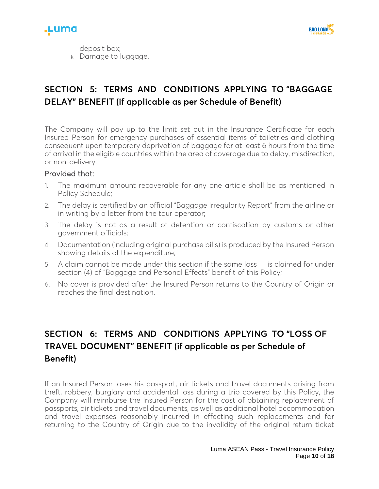



deposit box; k. Damage to luggage.

### **SECTION 5: TERMS AND CONDITIONS APPLYING TO "BAGGAGE DELAY" BENEFIT (if applicable as per Schedule of Benefit)**

The Company will pay up to the limit set out in the Insurance Certificate for each Insured Person for emergency purchases of essential items of toiletries and clothing consequent upon temporary deprivation of baggage for at least 6 hours from the time of arrival in the eligible countries within the area of coverage due to delay, misdirection, or non-delivery.

#### Provided that:

- 1. The maximum amount recoverable for any one article shall be as mentioned in Policy Schedule;
- 2. The delay is certified by an official "Baggage Irregularity Report" from the airline or in writing by a letter from the tour operator;
- 3. The delay is not as a result of detention or confiscation by customs or other government officials;
- 4. Documentation (including original purchase bills) is produced by the Insured Person showing details of the expenditure;
- 5. A claim cannot be made under this section if the same loss is claimed for under section (4) of "Baggage and Personal Effects" benefit of this Policy;
- 6. No cover is provided after the Insured Person returns to the Country of Origin or reaches the final destination.

### **SECTION 6: TERMS AND CONDITIONS APPLYING TO "LOSS OF TRAVEL DOCUMENT" BENEFIT (if applicable as per Schedule of Benefit)**

If an Insured Person loses his passport, air tickets and travel documents arising from theft, robbery, burglary and accidental loss during a trip covered by this Policy, the Company will reimburse the Insured Person for the cost of obtaining replacement of passports, air tickets and travel documents, as well as additional hotel accommodation and travel expenses reasonably incurred in effecting such replacements and for returning to the Country of Origin due to the invalidity of the original return ticket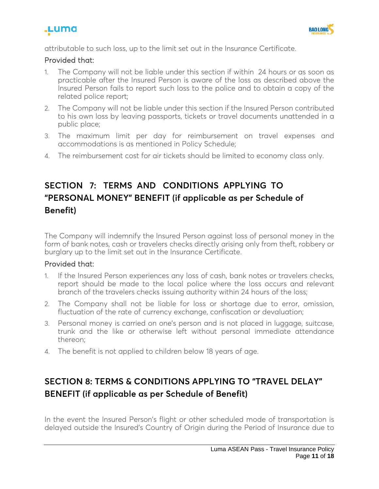



attributable to such loss, up to the limit set out in the Insurance Certificate.

#### Provided that:

- 1. The Company will not be liable under this section if within 24 hours or as soon as practicable after the Insured Person is aware of the loss as described above the Insured Person fails to report such loss to the police and to obtain a copy of the related police report;
- 2. The Company will not be liable under this section if the Insured Person contributed to his own loss by leaving passports, tickets or travel documents unattended in a public place;
- 3. The maximum limit per day for reimbursement on travel expenses and accommodations is as mentioned in Policy Schedule;
- 4. The reimbursement cost for air tickets should be limited to economy class only.

### **SECTION 7: TERMS AND CONDITIONS APPLYING TO "PERSONAL MONEY" BENEFIT (if applicable as per Schedule of Benefit)**

The Company will indemnify the Insured Person against loss of personal money in the form of bank notes, cash or travelers checks directly arising only from theft, robbery or burglary up to the limit set out in the Insurance Certificate.

#### Provided that:

- 1. If the Insured Person experiences any loss of cash, bank notes or travelers checks, report should be made to the local police where the loss occurs and relevant branch of the travelers checks issuing authority within 24 hours of the loss;
- 2. The Company shall not be liable for loss or shortage due to error, omission, fluctuation of the rate of currency exchange, confiscation or devaluation;
- 3. Personal money is carried on one's person and is not placed in luggage, suitcase, trunk and the like or otherwise left without personal immediate attendance thereon;
- 4. The benefit is not applied to children below 18 years of age.

# **SECTION 8: TERMS & CONDITIONS APPLYING TO "TRAVEL DELAY" BENEFIT (if applicable as per Schedule of Benefit)**

In the event the Insured Person's flight or other scheduled mode of transportation is delayed outside the Insured's Country of Origin during the Period of Insurance due to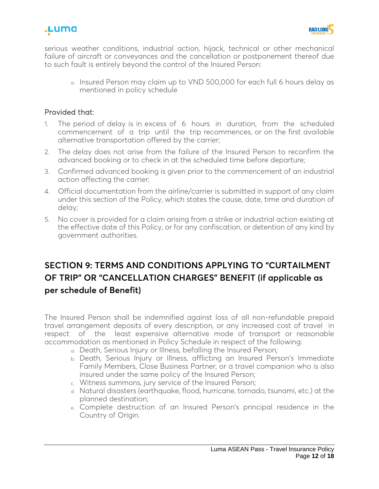



serious weather conditions, industrial action, hijack, technical or other mechanical failure of aircraft or conveyances and the cancellation or postponement thereof due to such fault is entirely beyond the control of the Insured Person:

a. Insured Person may claim up to VND 500,000 for each full 6 hours delay as mentioned in policy schedule

#### Provided that:

- 1. The period of delay is in excess of 6 hours in duration, from the scheduled commencement of a trip until the trip recommences, or on the first available alternative transportation offered by the carrier;
- 2. The delay does not arise from the failure of the Insured Person to reconfirm the advanced booking or to check in at the scheduled time before departure;
- 3. Confirmed advanced booking is given prior to the commencement of an industrial action affecting the carrier;
- 4. Official documentation from the airline/carrier is submitted in support of any claim under this section of the Policy, which states the cause, date, time and duration of delay;
- 5. No cover is provided for a claim arising from a strike or industrial action existing at the effective date of this Policy, or for any confiscation, or detention of any kind by government authorities.

### **SECTION 9: TERMS AND CONDITIONS APPLYING TO "CURTAILMENT OF TRIP" OR "CANCELLATION CHARGES" BENEFIT (if applicable as per schedule of Benefit)**

The Insured Person shall be indemnified against loss of all non-refundable prepaid travel arrangement deposits of every description, or any increased cost of travel in respect of the least expensive alternative mode of transport or reasonable accommodation as mentioned in Policy Schedule in respect of the following:

- a. Death, Serious Injury or Illness, befalling the Insured Person;
- b. Death, Serious Injury or Illness, afflicting an Insured Person's Immediate Family Members, Close Business Partner, or a travel companion who is also insured under the same policy of the Insured Person;
- c. Witness summons, jury service of the Insured Person;
- d. Natural disasters (earthquake, flood, hurricane, tornado, tsunami, etc.) at the planned destination;
- e. Complete destruction of an Insured Person's principal residence in the Country of Origin.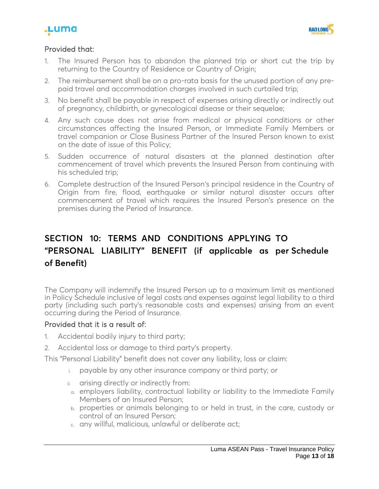



### Provided that:

- 1. The Insured Person has to abandon the planned trip or short cut the trip by returning to the Country of Residence or Country of Origin;
- 2. The reimbursement shall be on a pro-rata basis for the unused portion of any prepaid travel and accommodation charges involved in such curtailed trip;
- 3. No benefit shall be payable in respect of expenses arising directly or indirectly out of pregnancy, childbirth, or gynecological disease or their sequelae;
- 4. Any such cause does not arise from medical or physical conditions or other circumstances affecting the Insured Person, or Immediate Family Members or travel companion or Close Business Partner of the Insured Person known to exist on the date of issue of this Policy;
- 5. Sudden occurrence of natural disasters at the planned destination after commencement of travel which prevents the Insured Person from continuing with his scheduled trip;
- 6. Complete destruction of the Insured Person's principal residence in the Country of Origin from fire, flood, earthquake or similar natural disaster occurs after commencement of travel which requires the Insured Person's presence on the premises during the Period of Insurance.

## **SECTION 10: TERMS AND CONDITIONS APPLYING TO "PERSONAL LIABILITY" BENEFIT (if applicable as per Schedule of Benefit)**

The Company will indemnify the Insured Person up to a maximum limit as mentioned in Policy Schedule inclusive of legal costs and expenses against legal liability to a third party (including such party's reasonable costs and expenses) arising from an event occurring during the Period of Insurance.

### Provided that it is a result of:

- 1. Accidental bodily injury to third party;
- 2. Accidental loss or damage to third party's property.

This "Personal Liability" benefit does not cover any liability, loss or claim:

- i. payable by any other insurance company or third party; or
- ii. arising directly or indirectly from:
- a. employers liability, contractual liability or liability to the Immediate Family Members of an Insured Person;
- b. properties or animals belonging to or held in trust, in the care, custody or control of an Insured Person;
- c. any willful, malicious, unlawful or deliberate act;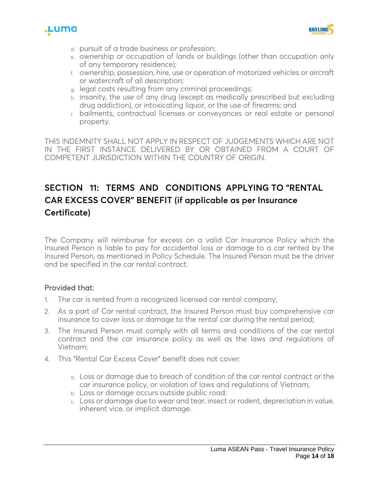



- d. pursuit of a trade business or profession;
- e. ownership or occupation of lands or buildings (other than occupation only of any temporary residence);
- f. ownership, possession, hire, use or operation of motorized vehicles or aircraft or watercraft of all description;
- g. legal costs resulting from any criminal proceedings;
- h. insanity, the use of any drug (except as medically prescribed but excluding drug addiction), or intoxicating liquor, or the use of firearms; and
- i. bailments, contractual licenses or conveyances or real estate or personal property.

THIS INDEMNITY SHALL NOT APPLY IN RESPECT OF JUDGEMENTS WHICH ARE NOT IN THE FIRST INSTANCE DELIVERED BY OR OBTAINED FROM A COURT OF COMPETENT JURISDICTION WITHIN THE COUNTRY OF ORIGIN.

## **SECTION 11: TERMS AND CONDITIONS APPLYING TO "RENTAL CAR EXCESS COVER" BENEFIT (if applicable as per Insurance Certificate)**

The Company will reimburse for excess on a valid Car Insurance Policy which the Insured Person is liable to pay for accidental loss or damage to a car rented by the Insured Person, as mentioned in Policy Schedule. The Insured Person must be the driver and be specified in the car rental contract.

### Provided that:

- 1. The car is rented from a recognized licensed car rental company;
- 2. As a part of Car rental contract, the Insured Person must buy comprehensive car insurance to cover loss or damage to the rental car during the rental period;
- 3. The Insured Person must comply with all terms and conditions of the car rental contract and the car insurance policy as well as the laws and regulations of Vietnam;
- 4. This "Rental Car Excess Cover" benefit does not cover:
	- a. Loss or damage due to breach of condition of the car rental contract or the car insurance policy, or violation of laws and regulations of Vietnam;
	- b. Loss or damage occurs outside public road;
	- c. Loss or damage due to wear and tear, insect or rodent, depreciation in value, inherent vice, or implicit damage.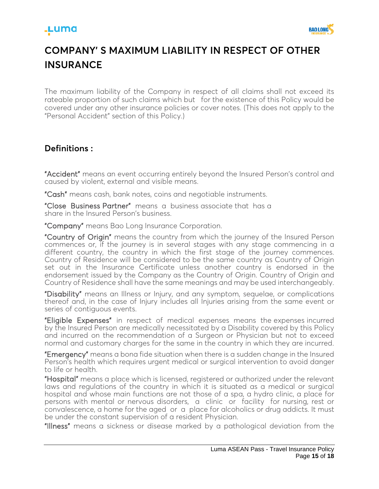### .Luma



# **COMPANY' S MAXIMUM LIABILITY IN RESPECT OF OTHER INSURANCE**

The maximum liability of the Company in respect of all claims shall not exceed its rateable proportion of such claims which but for the existence of this Policy would be covered under any other insurance policies or cover notes. (This does not apply to the "Personal Accident" section of this Policy.)

### **Definitions :**

"Accident" means an event occurring entirely beyond the Insured Person's control and caused by violent, external and visible means.

"Cash" means cash, bank notes, coins and negotiable instruments.

"Close Business Partner" means a business associate that has a share in the Insured Person's business.

"Company" means Bao Long Insurance Corporation.

"Country of Origin" means the country from which the journey of the Insured Person commences or, if the journey is in several stages with any stage commencing in a different country, the country in which the first stage of the journey commences. Country of Residence will be considered to be the same country as Country of Origin set out in the Insurance Certificate unless another country is endorsed in the endorsement issued by the Company as the Country of Origin. Country of Origin and Country of Residence shall have the same meanings and may be used interchangeably.

"Disability" means an Illness or Injury, and any symptom, sequelae, or complications thereof and, in the case of Injury includes all Injuries arising from the same event or series of contiguous events.

"Eligible Expenses" in respect of medical expenses means the expenses incurred by the Insured Person are medically necessitated by a Disability covered by this Policy and incurred on the recommendation of a Surgeon or Physician but not to exceed normal and customary charges for the same in the country in which they are incurred.

"Emergency" means a bona fide situation when there is a sudden change in the Insured Person's health which requires urgent medical or surgical intervention to avoid danger to life or health.

"Hospital" means a place which is licensed, registered or authorized under the relevant laws and regulations of the country in which it is situated as a medical or surgical hospital and whose main functions are not those of a spa, a hydro clinic, a place for persons with mental or nervous disorders, a clinic or facility for nursing, rest or convalescence, a home for the aged or a place for alcoholics or drug addicts. It must be under the constant supervision of a resident Physician.

"Illness" means a sickness or disease marked by a pathological deviation from the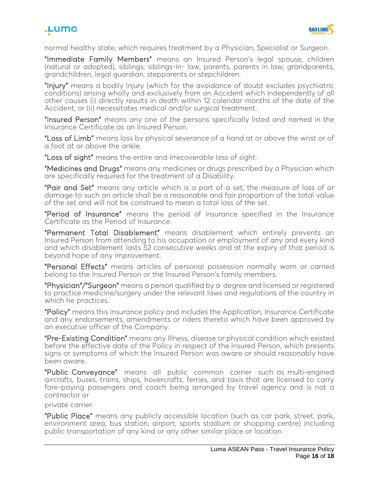## .Luma



normal healthy state, which requires treatment by a Physician, Specialist or Surgeon.

"Immediate Family Members" means an Insured Person's legal spouse, children (natural or adopted), siblings, siblings-in- law, parents, parents in law, grandparents, grandchildren, legal guardian, stepparents or stepchildren.

"Injury" means a bodily Injury (which for the avoidance of doubt excludes psychiatric conditions) arising wholly and exclusively from an Accident which independently of all other causes (i) directly results in death within 12 calendar months of the date of the Accident, or (ii) necessitates medical and/or surgical treatment.

"Insured Person" means any one of the persons specifically listed and named in the Insurance Certificate as an Insured Person.

"Loss of Limb" means loss by physical severance of a hand at or above the wrist or of a foot at or above the ankle.

"Loss of sight" means the entire and irrecoverable loss of sight.

"Medicines and Drugs" means any medicines or drugs prescribed by a Physician which are specifically required for the treatment of a Disability.

"Pair and Set" means any article which is a part of a set, the measure of loss of or damage to such an article shall be a reasonable and fair proportion of the total value of the set and will not be construed to mean a total loss of the set.

"Period of Insurance" means the period of insurance specified in the Insurance Certificate as the Period of Insurance.

"Permanent Total Disablement" means disablement which entirely prevents an Insured Person from attending to his occupation or employment of any and every kind and which disablement lasts 52 consecutive weeks and at the expiry of that period is beyond hope of any improvement.

"Personal Effects" means articles of personal possession normally worn or carried belong to the Insured Person or the Insured Person's family members.

"Physician"/"Surgeon" means a person qualified by a degree and licensed or registered to practice medicine/surgery under the relevant laws and regulations of the country in which he practices.

"Policy" means this insurance policy and includes the Application, Insurance Certificate and any endorsements, amendments or riders thereto which have been approved by an executive officer of the Company.

"Pre-Existing Condition" means any Illness, disease or physical condition which existed before the effective date of the Policy in respect of the Insured Person, which presents signs or symptoms of which the Insured Person was aware or should reasonably have been aware.

"Public Conveyance" means all public common carrier such as multi-engined aircrafts, buses, trains, ships, hovercrafts, ferries, and taxis that are licensed to carry fare-paying passengers and coach being arranged by travel agency and is not a contractor or

private carrier.

"Public Place" means any publicly accessible location (such as car park, street, park, environment area, bus station, airport, sports stadium or shopping centre) including public transportation of any kind or any other similar place or location.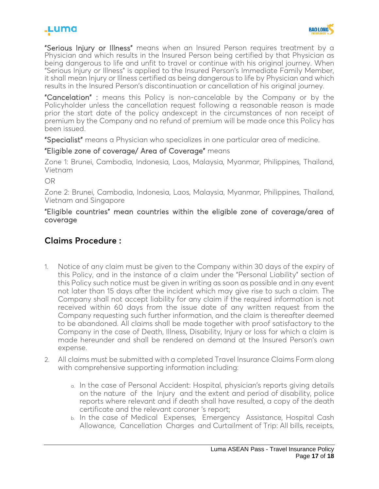## .Luma



"Serious Injury or Illness" means when an Insured Person requires treatment by a Physician and which results in the Insured Person being certified by that Physician as being dangerous to life and unfit to travel or continue with his original journey. When "Serious Injury or Illness" is applied to the Insured Person's Immediate Family Member, it shall mean Injury or Illness certified as being dangerous to life by Physician and which results in the Insured Person's discontinuation or cancellation of his original journey.

"Cancelation" : means this Policy is non-cancelable by the Company or by the Policyholder unless the cancellation request following a reasonable reason is made prior the start date of the policy andexcept in the circumstances of non receipt of premium by the Company and no refund of premium will be made once this Policy has been issued.

"Specialist" means a Physician who specializes in one particular area of medicine.

### "Eligible zone of coverage/ Area of Coverage" means

Zone 1: Brunei, Cambodia, Indonesia, Laos, Malaysia, Myanmar, Philippines, Thailand, Vietnam

OR

Zone 2: Brunei, Cambodia, Indonesia, Laos, Malaysia, Myanmar, Philippines, Thailand, Vietnam and Singapore

"Eligible countries" mean countries within the eligible zone of coverage/area of coverage

### **Claims Procedure :**

- 1. Notice of any claim must be given to the Company within 30 days of the expiry of this Policy, and in the instance of a claim under the "Personal Liability" section of this Policy such notice must be given in writing as soon as possible and in any event not later than 15 days after the incident which may give rise to such a claim. The Company shall not accept liability for any claim if the required information is not received within 60 days from the issue date of any written request from the Company requesting such further information, and the claim is thereafter deemed to be abandoned. All claims shall be made together with proof satisfactory to the Company in the case of Death, Illness, Disability, Injury or loss for which a claim is made hereunder and shall be rendered on demand at the Insured Person's own expense.
- 2. All claims must be submitted with a completed Travel Insurance Claims Form along with comprehensive supporting information including:
	- a. In the case of Personal Accident: Hospital, physician's reports giving details on the nature of the Injury and the extent and period of disability, police reports where relevant and if death shall have resulted, a copy of the death certificate and the relevant coroner 's report;
	- b. In the case of Medical Expenses, Emergency Assistance, Hospital Cash Allowance, Cancellation Charges and Curtailment of Trip: All bills, receipts,